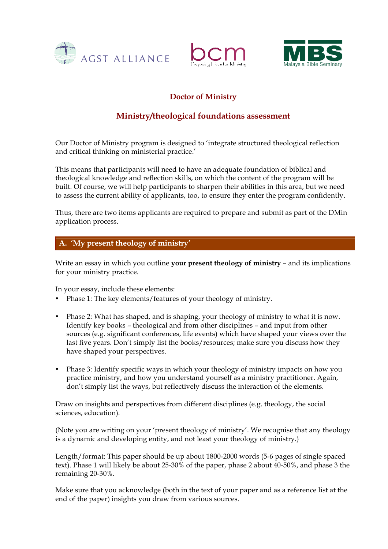





# **Doctor of Ministry**

# **Ministry/theological foundations assessment**

Our Doctor of Ministry program is designed to 'integrate structured theological reflection and critical thinking on ministerial practice.'

This means that participants will need to have an adequate foundation of biblical and theological knowledge and reflection skills, on which the content of the program will be built. Of course, we will help participants to sharpen their abilities in this area, but we need to assess the current ability of applicants, too, to ensure they enter the program confidently.

Thus, there are two items applicants are required to prepare and submit as part of the DMin application process.

### **A. 'My present theology of ministry'**

Write an essay in which you outline **your present theology of ministry** – and its implications for your ministry practice.

In your essay, include these elements:

- Phase 1: The key elements/features of your theology of ministry.
- Phase 2: What has shaped, and is shaping, your theology of ministry to what it is now. Identify key books – theological and from other disciplines – and input from other sources (e.g. significant conferences, life events) which have shaped your views over the last five years. Don't simply list the books/resources; make sure you discuss how they have shaped your perspectives.
- Phase 3: Identify specific ways in which your theology of ministry impacts on how you practice ministry, and how you understand yourself as a ministry practitioner. Again, don't simply list the ways, but reflectively discuss the interaction of the elements.

Draw on insights and perspectives from different disciplines (e.g. theology, the social sciences, education).

(Note you are writing on your 'present theology of ministry'. We recognise that any theology is a dynamic and developing entity, and not least your theology of ministry.)

Length/format: This paper should be up about 1800-2000 words (5-6 pages of single spaced text). Phase 1 will likely be about 25-30% of the paper, phase 2 about 40-50%, and phase 3 the remaining 20-30%.

Make sure that you acknowledge (both in the text of your paper and as a reference list at the end of the paper) insights you draw from various sources.